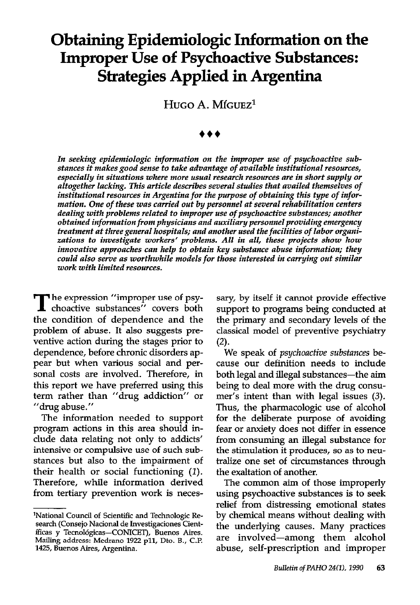# Obtaining Epidemiologic Information on the Improper Use of Psychoactive Substances: Strategies Applied in Argentina

HUGO A. MíGUEZ<sup>1</sup>

In seeking epidemiologic information on the improper use of psychoactive substances it makes good sense to take advantage of available institutional resources, especially in situations where more usual research resources are in short supply or altogether lacking. This article describes several studies that availed themselves of institutional resources in Argentina for the purpose of obtaining this type of information. One of these was carried out by personnel at several rehabilitation centers dealing with problems related to improper use of psychoactive substances; another obtained information from physicians and auxiliary personnel providing emergency treatment at threegeneral hospitals; and another used the facilities of labor organizations to investigate workers' problems. All in all, these projects show how innovative approaches can help to obtain key substance abuse information; they could also serve as worthwhile models for those interested in carrying out similar work with limited resources.

The expression "improper use of psy-<br>choactive substances" covers both the condition of dependence and the problem of abuse. It also suggests preventive action during the stages prior to dependence, before chronic disorders appear but when various social and personal costs are involved. Therefore, in this report we have preferred using this term rather than "drug addiction" or "drug abuse."

The information needed to support program actions in this area should include data relating not only to addicts' intensive or compulsive use of such substances but also to the impairment of their health or social functioning  $(1)$ . Therefore, while information derived from tertiary prevention work is neces-

sary, by itself it cannot provide effective support to programs being conducted at the primary and secondary levels of the classical model of preventive psychiatry  $(2).$ 

We speak of *psychoactive substances* because our definition needs to include both legal and illegal substances-the aim being to deal more with the drug consumer's intent than with legal issues (3). Thus, the pharmacologic use of alcohol for the deliberate purpose of avoiding fear or anxiety does not differ in essence from consuming an illegal substance for the stimulation it produces, so as to neutralize one set of circumstances through the exaltation of another.

The common aim of those improperly using psychoactive substances is to seek relief from distressing emotional states by chemical means without dealing with the underlying causes. Many practices are involved-among them alcohol abuse, self-prescription and improper

<sup>&#</sup>x27;National Council of Scientific and Technologic Research (Consejo Nacional de Investigaciones Científicas y Tecnológicas-CONICET), Buenos Aires. Mailing address: Medrano 1922 pll, Dto. B., C.l? 1425, Buenos Aires, Argentina.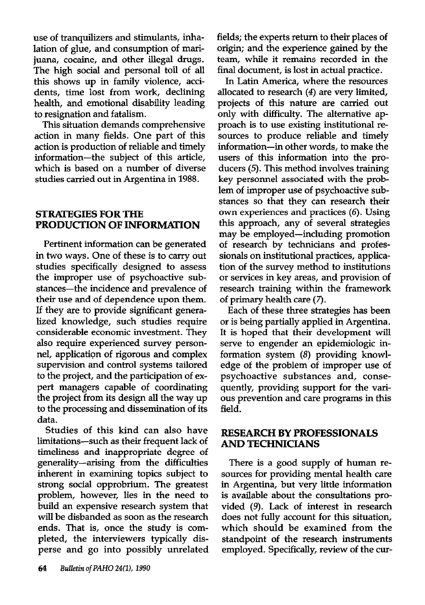use of tranquilizers and stimulants, inhalation of glue, and consumption of marijuana, cocaine, and other illegal drugs. The high social and personal toll of all this shows up in family violence, accidents, time lost from work, declining health, and emotional disability leading to resignation and fatalism.

This situation demands comprehensive action in many fields. One part of this action is production of reliable and timely information-the subject of this article, which is based on a number of diverse studies carried out in Argentina in 1988.

#### STRATEGIES FOR THE PRODUCTION OF INFORMATION

Pertinent information can be generated in two ways. One of these is to carry out studies specifically designed to assess the improper use of psychoactive substances-the incidence and prevalence of their use and of dependence upon them. If they are to provide significant generalized knowledge, such studies require considerable economic investment. They also require experienced survey personnel, application of rigorous and complex supervision and control systems tailored to the project, and the participation of expert managers capable of coordinating the project from its design all the way up to the processing and dissemination of its data.

Studies of this kind can also have limitations-such as their frequent lack of timeliness and inappropriate degree of generality-arising from the difficulties inherent in examining topics subject to strong social opprobrium. The greatest problem, however, lies in the need to build an expensive research system that will be disbanded as soon as the research ends. That is, once the study is completed, the interviewers typically disperse and go into possibly unrelated fields; the experts return to their places of origin; and the experience gained by the team, while it remains recorded in the final document, is lost in actual practice.

In Latin America, where the resources allocated to research (4) are very limited, projects of this nature are carried out only with difficulty. The alternative approach is to use existing institutional resources to produce reliable and timely information-in other words, to make the users of this information into the producers (5). This method involves training key personnel associated with the problem of improper use of psychoactive substances so that they can research their own experiences and practices (6). Using this approach, any of several strategies may be employed-including promotion of research by technicians and professionals on institutional practices, application of the survey method to institutions or services in key areas, and provision of research training within the framework of primary health care (7).

Each of these three strategies has been or is being partially applied in Argentina. It is hoped that their development will serve to engender an epidemiologic information system (8) providing knowledge of the problem of improper use of psychoactive substances and, consequently, providing support for the various prevention and care programs in this field.

### RESEARCH BY PROFESSIONALS AND TECHNICIANS

There is a good supply of human resources for providing mental health care in Argentina, but very little information is available about the consultations provided (9). Lack of interest in research does not fully account for this situation, which should be examined from the standpoint of the research instruments employed. Specifically, review of the cur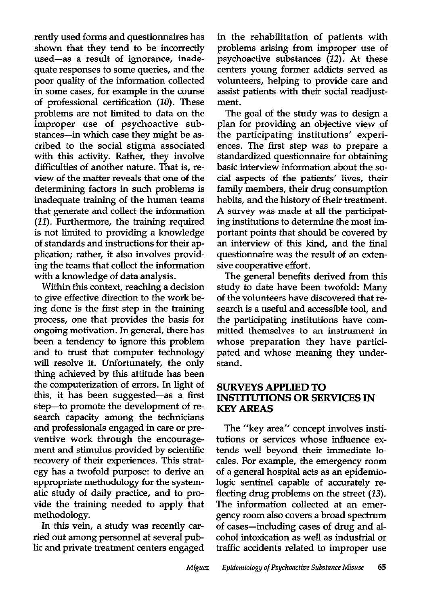rently used forms and questionnaires has shown that they tend to be incorrectly used-as a result of ignorance, inadequate responses to some queries, and the poor quality of the information collected in some cases, for example in the course of professional certification (10). These problems are not limited to data on the improper use of psychoactive substances-in which case they might be ascribed to the social stigma associated with this activity. Rather, they involve difficulties of another nature. That is, review of the matter reveals that one of the determining factors in such problems is inadequate training of the human teams that generate and collect the information (II). Furthermore, the training required is not limited to providing a knowledge of standards and instructions for their application; rather, it also involves providing the teams that collect the information with a knowledge of data analysis.

Within this context, reaching a decision to give effective direction to the work being done is the first step in the training process, one that provides the basis for ongoing motivation. In general, there has been a tendency to ignore this problem and to trust that computer technology will resolve it. Unfortunately, the only thing achieved by this attitude has been the computerization of errors. In light of this, it has been suggested-as a first step-to promote the development of research capacity among the technicians and professionals engaged in care or preventive work through the encouragement and stimulus provided by scientific recovery of their experiences. This strategy has a twofold purpose: to derive an appropriate methodology for the systematic study of daily practice, and to provide the training needed to apply that methodology.

In this vein, a study was recently carried out among personnel at several public and private treatment centers engaged in the rehabilitation of patients with problems arising from improper use of psychoactive substances (12). At these centers young former addicts served as volunteers, helping to provide care and assist patients with their social readjustment.

The goal of the study was to design a plan for providing an objective view of the participating institutions' experiences. The first step was to prepare a standardized questionnaire for obtaining basic interview information about the social aspects of the patients' lives, their family members, their drug consumption habits, and the history of their treatment. A survey was made at all the participating institutions to determine the most important points that should be covered by an interview of this kind, and the final questionnaire was the result of an extensive cooperative effort.

The general benefits derived from this study to date have been twofold: Many of the volunteers have discovered that research is a useful and accessible tool, and the participating institutions have committed themselves to an instrument in whose preparation they have participated and whose meaning they understand.

### SURVEYS APPLIED TO INSTITUTIONS OR SERVICES IN KEY AREAS

The "key area" concept involves institutions or services whose influence extends well beyond their immediate locales. For example, the emergency room of a general hospital acts as an epidemiologic sentinel capable of accurately reflecting drug problems on the street (13). The information collected at an emergency room also covers a broad spectrum of cases-including cases of drug and alcohol intoxication as well as industrial or traffic accidents related to improper use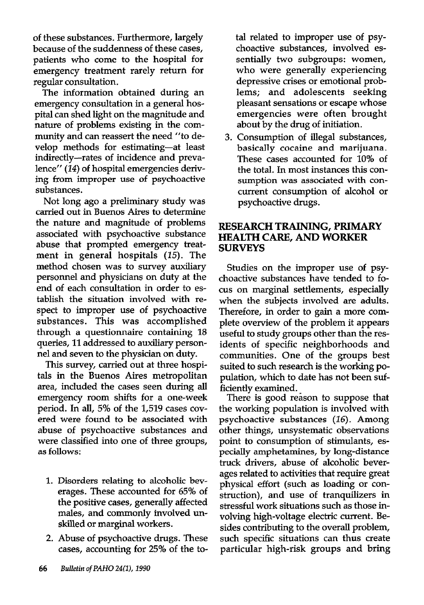of these substances. Furthermore, largely because of the suddenness of these cases, patients who come to the hospital for emergency treatment rarely return for regular consultation.

The information obtained during an emergency consultation in a general hospital can shed light on the magnitude and nature of problems existing in the community and can reassert the need "to develop methods for estimating-at least indirectly-rates of incidence and prevalence" (14) of hospital emergencies deriving from improper use of psychoactive substances.

Not long ago a preliminary study was carried out in Buenos Aires to determine the nature and magnitude of problems associated with psychoactive substance abuse that prompted emergency treatment in general hospitals (15). The method chosen was to survey auxiliary personnel and physicians on duty at the end of each consultation in order to establish the situation involved with respect to improper use of psychoactive substances. This was accomplished through a questionnaire containing 18 queries, 11 addressed to auxiliary personnel and seven to the physician on duty.

This survey, carried out at three hospitals in the Buenos Aires metropolitan area, included the cases seen during all emergency room shifts for a one-week period. In all, 5% of the 1,519 cases covered were found to be associated with abuse of psychoactive substances and were classified into one of three groups, as follows:

- 1. Disorders relating to alcoholic beverages. These accounted for 65% of the positive cases, generally affected males, and commonly involved unskilled or marginal workers.
- 2. Abuse of psychoactive drugs. These cases, accounting for 25% of the to-

tal related to improper use of psychoactive substances, involved essentially two subgroups: women, who were generally experiencing depressive crises or emotional problems; and adolescents seeking pleasant sensations or escape whose emergencies were often brought about by the drug of initiation.

3. Consumption of illegal substances, basically cocaine and marijuana. These cases accounted for 10% of the total. In most instances this consumption was associated with concurrent consumption of alcohol or psychoactive drugs.

## RESEARCH TRAINING, PRIMARY HEALTH CARE, AND WORKER **SURVEYS**

Studies on the improper use of psychoactive substances have tended to focus on marginal settlements, especially when the subjects involved are adults. Therefore, in order to gain a more complete overview of the problem it appears useful to study groups other than the residents of specific neighborhoods and communities. One of the groups best suited to such research is the working population, which to date has not been sufficiently examined.

There is good reason to suppose that the working population is involved with psychoactive substances (16). Among other things, unsystematic observations point to consumption of stimulants, especially amphetamines, by long-distance truck drivers, abuse of alcoholic beverages related to activities that require great physical effort (such as loading or construction), and use of tranquilizers in stressful work situations such as those involving high-voltage electric current. Besides contributing to the overall problem, such specific situations can thus create particular high-risk groups and bring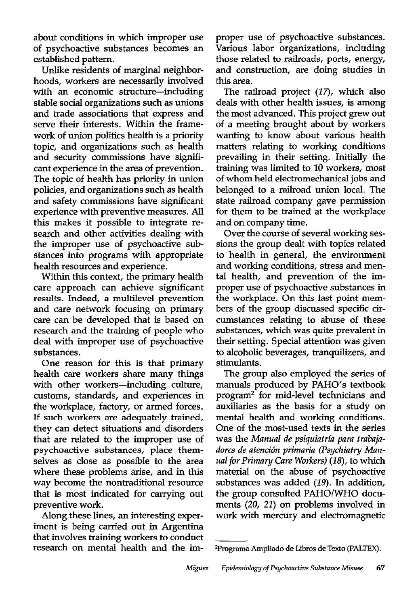about conditions in which improper use of psychoactive substances becomes an established pattern.

Unlike residents of marginal neighborhoods, workers are necessarily involved with an economic structure-including stable social organizations such as unions and trade associations that express and serve their interests. Within the framework of union politics health is a priority topic, and organizations such as health and security commissions have significant experience in the area of prevention. The topic of health has priority in union policies, and organizations such as health and safety commissions have significant experience with preventive measures. All this makes it possible to integrate research and other activities dealing with the improper use of psychoactive substances into programs with appropriate health resources and experience.

Within this context, the primary health care approach can achieve significant results. Indeed, a multilevel prevention and care network focusing on primary care can be developed that is based on research and the training of people who deal with improper use of psychoactive substances.

One reason for this is that primary health care workers share many things with other workers-including culture, customs, standards, and experiences in the workplace, factory, or armed forces. If such workers are adequately trained, they can detect situations and disorders that are related to the improper use of psychoactive substances, place themselves as close as possible to the area where these problems arise, and in this way become the nontraditional resource that is most indicated for carrying out preventive work.

Along these lines, an interesting experiment is being carried out in Argentina that involves training workers to conduct research on mental health and the improper use of psychoactive substances. Various labor organizations, including those related to railroads, ports, energy, and construction, are doing studies in this area.

The railroad project (17), which also deals with other health issues, is among the most advanced. This project grew out of a meeting brought about by workers wanting to know about various health matters relating to working conditions prevailing in their setting. Initially the training was limited to 10 workers, most of whom held electromechanical jobs and belonged to a railroad union local. The state railroad company gave permission for them to be trained at the workplace and on company time.

Over the course of several working sessions the group dealt with topics related to health in general, the environment and working conditions, stress and mental health, and prevention of the improper use of psychoactive substances in the workplace. On this last point members of the group discussed specific circumstances relating to abuse of these substances, which was quite prevalent in their setting. Special attention was given to alcoholic beverages, tranquilizers, and stimulants.

The group also employed the series of manuals produced by PAHO's textbook program2 for mid-level technicians and auxiliaries as the basis for a study on mental health and working conditions. One of the most-used texts in the series was the Manual de psiquiatría para trabajadores de atención primaria (Psychiatry Manual for Primary Care Workers) (18), to which material on the abuse of psychoactive substances was added (19). In addition, the group consulted PAHO/WHO documents (20, 21) on problems involved in work with mercury and electromagnetic

<sup>&</sup>lt;sup>2</sup>Programa Ampliado de Libros de Texto (PALTEX).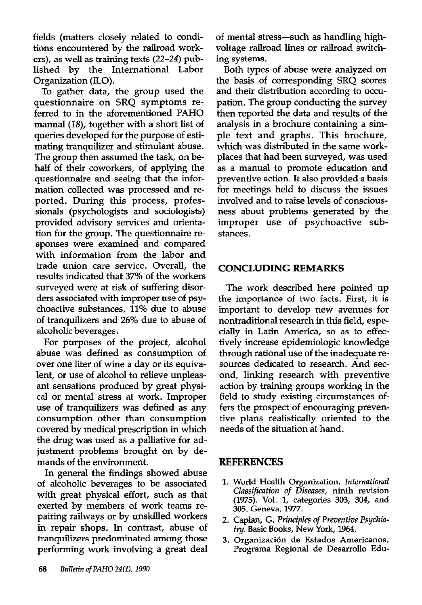fields (matters closely related to conditions encountered by the railroad workers), as well as training texts (22-24) published by the International Labor Organization (ILO).

To gather data, the group used the questionnaire on SRQ symptoms referred to in the aforementioned PAHO manual (18), together with a short list of queries developed for the purpose of estimating tranquilizer and stimulant abuse. The group then assumed the task, on behalf of their coworkers, of applying the questionnaire and seeing that the information collected was processed and reported. During this process, professionals (psychologists and sociologists) provided advisory services and orientation for the group. The questionnaire responses were examined and compared with information from the labor and trade union care service. Overall, the results indicated that 37% of the workers surveyed were at risk of suffering disorders associated with improper use of psychoactive substances, 11% due to abuse of tranquilizers and 26% due to abuse of alcoholic beverages.

For purposes of the project, alcohol abuse was defined as consumption of over one liter of wine a day or its equivalent, or use of alcohol to relieve unpleasant sensations produced by great physical or mental stress at work. Improper use of tranquilizers was defined as any consumption other than consumption covered by medical prescription in which the drug was used as a palliative for adjustment problems brought on by demands of the environment.

In general the findings showed abuse of alcoholic beverages to be associated with great physical effort, such as that exerted by members of work teams repairing railways or by unskilled workers in repair shops. In contrast, abuse of tranquilizers predominated among those performing work involving a great deal of mental stress-such as handling highvoltage railroad lines or railroad switching systems.

Both types of abuse were analyzed on the basis of corresponding SRQ scores and their distribution according to occupation. The group conducting the survey then reported the data and results of the analysis in a brochure containing a simple text and graphs. This brochure, which was distributed in the same workplaces that had been surveyed, was used as a manual to promote education and preventive action. It also provided a basis for meetings held to discuss the issues involved and to raise levels of consciousness about problems generated by the improper use of psychoactive substances.

#### CONCLUDING REMARKS

The work described here pointed up the importance of two facts. First, it is important to develop new avenues for nontraditional research in this field, especially in Latin America, so as to effectively increase epidemiologic knowledge through rational use of the inadequate resources dedicated to research. And second, linking research with preventive action by training groups working in the field to study existing circumstances offers the prospect of encouraging preventive plans realistically oriented to the needs of the situation at hand.

# REFERENCES

- 1. World Health Organization. International Classification of Diseases, ninth revision (1975). Vol. 1, categories 303, 304, and 305. Geneva, 1977.
- 2. Caplan, G. Principles of Preventive Psychiufry. Basic Books, New York, 1964.
- 3. Organización de Estados Americanos, Programa Regional de Desarrollo Edu-